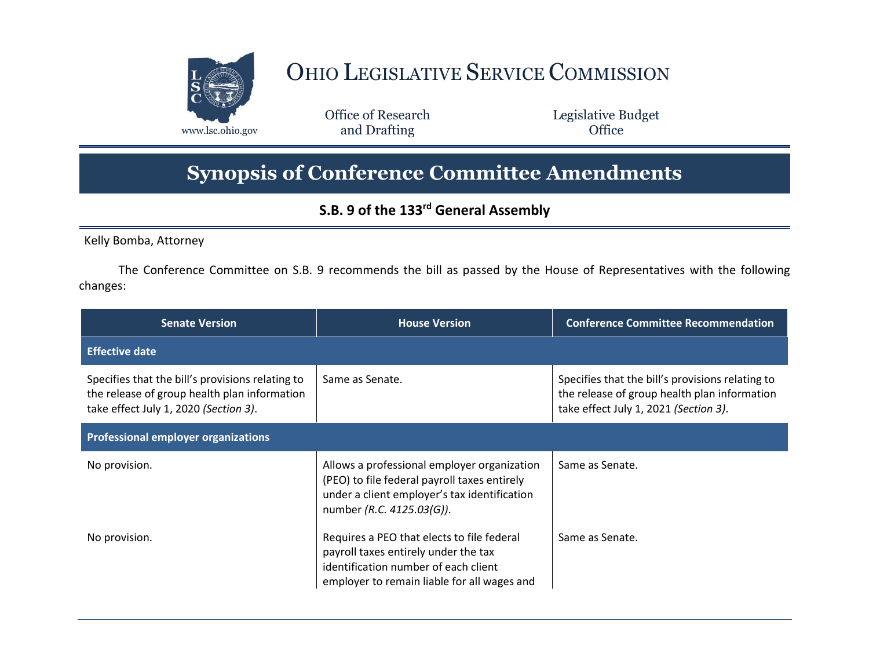

## OHIO LEGISLATIVE SERVICE COMMISSION

Office of Research www.lsc.ohio.gov **and Drafting Office** 

Legislative Budget

## **Synopsis of Conference Committee Amendments**

## **S.B. 9 of the 133rd General Assembly**

Kelly Bomba, Attorney

The Conference Committee on S.B. 9 recommends the bill as passed by the House of Representatives with the following changes:

| <b>Senate Version</b>                                                                                                                     | <b>House Version</b>                                                                                                                                                      | <b>Conference Committee Recommendation</b>                                                                                                |  |
|-------------------------------------------------------------------------------------------------------------------------------------------|---------------------------------------------------------------------------------------------------------------------------------------------------------------------------|-------------------------------------------------------------------------------------------------------------------------------------------|--|
| <b>Effective date</b>                                                                                                                     |                                                                                                                                                                           |                                                                                                                                           |  |
| Specifies that the bill's provisions relating to<br>the release of group health plan information<br>take effect July 1, 2020 (Section 3). | Same as Senate.                                                                                                                                                           | Specifies that the bill's provisions relating to<br>the release of group health plan information<br>take effect July 1, 2021 (Section 3). |  |
| <b>Professional employer organizations</b>                                                                                                |                                                                                                                                                                           |                                                                                                                                           |  |
| No provision.                                                                                                                             | Allows a professional employer organization<br>(PEO) to file federal payroll taxes entirely<br>under a client employer's tax identification<br>number (R.C. 4125.03(G)).  | Same as Senate.                                                                                                                           |  |
| No provision.                                                                                                                             | Requires a PEO that elects to file federal<br>payroll taxes entirely under the tax<br>identification number of each client<br>employer to remain liable for all wages and | Same as Senate.                                                                                                                           |  |